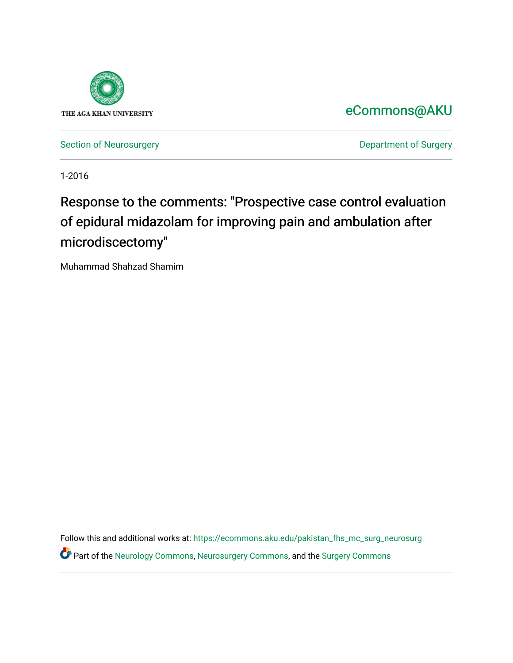

## [eCommons@AKU](https://ecommons.aku.edu/)

[Section of Neurosurgery](https://ecommons.aku.edu/pakistan_fhs_mc_surg_neurosurg) **Department of Surgery** Department of Surgery

1-2016

## Response to the comments: "Prospective case control evaluation of epidural midazolam for improving pain and ambulation after microdiscectomy"

Muhammad Shahzad Shamim

Follow this and additional works at: [https://ecommons.aku.edu/pakistan\\_fhs\\_mc\\_surg\\_neurosurg](https://ecommons.aku.edu/pakistan_fhs_mc_surg_neurosurg?utm_source=ecommons.aku.edu%2Fpakistan_fhs_mc_surg_neurosurg%2F222&utm_medium=PDF&utm_campaign=PDFCoverPages)  Part of the [Neurology Commons](http://network.bepress.com/hgg/discipline/692?utm_source=ecommons.aku.edu%2Fpakistan_fhs_mc_surg_neurosurg%2F222&utm_medium=PDF&utm_campaign=PDFCoverPages), [Neurosurgery Commons](http://network.bepress.com/hgg/discipline/1428?utm_source=ecommons.aku.edu%2Fpakistan_fhs_mc_surg_neurosurg%2F222&utm_medium=PDF&utm_campaign=PDFCoverPages), and the [Surgery Commons](http://network.bepress.com/hgg/discipline/706?utm_source=ecommons.aku.edu%2Fpakistan_fhs_mc_surg_neurosurg%2F222&utm_medium=PDF&utm_campaign=PDFCoverPages)